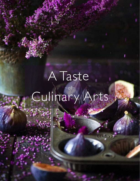## A Taste  $\sim$ of $\sim$ Culinary Arts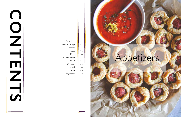| Appetizers    | $01 - 02$ |
|---------------|-----------|
| Breads/Doughs | 03-04     |
| Desserts      | 05-06     |
| Sauces        | 07-08     |
| Meats         | $09 - 10$ |
| Miscellaneous | $11 - 12$ |
| Salads        | $13 - 14$ |
| Dressings     | $15 - 16$ |
| Seafoods      | $17 - 18$ |
| Soups         | $19 - 20$ |
| Vegetables    | $21 - 22$ |
|               |           |



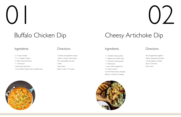2 c. Cream Cheese 2 ½ c. Cheddar Cheese 2 c. Bleu Cheese Dressing ½ c. Hot Sauce 3 stalk Celery, diced fine 3 ord. Chicken Fingers, fried or grilled, diced

# $\begin{pmatrix} 1 \\ 1 \end{pmatrix}$

## Buffalo Chicken Dip

Combine all ingredients except chicken in bowl of small mixer.. Mix using paddle until well mixed. Add chicken Bake to order 7-9 minutes



### Ingredients Directions

## Ingredients Directions

## Cheesy Artichoke Dip

- 1 c. Cheddar cheese, grated
- 1 c. Pepper jack cheese, shred
- 1 c. Parmesan cheese, grated
- 1 c. Mayonnaise
- 1 onion, small, chopped fine
- 2 cl. Garlic, minced
- 6 oz Artichoke hearts, chopped
- Bread or crackers for dipping





 $\bigcup$ 

Mix all ingredients together. Add to baking dish and bake until dip begins to bubble, about 10 minutes. Serve warm.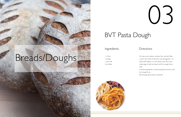03

## BVT Pasta Dough

### Ingredients Directions

1 c. Flour 1 ea. Egg 1 pnch. Salt 2 oz. Water



On clean work surface, combine flour and salt. Make a well in the center of the flour and add egg and 1 oz water. With fingers or a fork, slowly work flour from inside edge of well into liquid until firm dough forms. -OR-

Combine ingredients in small mixing bowl and mix until firm dough forms.

Roll through pasta maker as directed.

# Breads/Doughs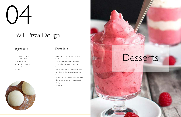½ oz. Active dry yeast 5 ¼ c. Water (110 degrees) 54 oz. Bread flour 6 oz. Whole wheat flour 1 ¼ oz. Salt ¾ c. EVOO



# 04

## BVT Pizza Dough

### Ingredients Directions

Activate yeast in warm water in mixer bowl and let sit five minutes Add remaining ingredients and mix on speed 3 for seven minutes with dough hook.

Portion into 5, 21 oz. balls, lightly coat with olive oil and let rest for 15 minutes before shaping and baking.



Lightly coat dough with olive oil and place on a sheet pan in the proof box for one hour.

# Desserts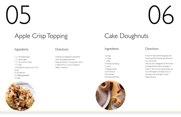## Cake Doughnuts

### Ingredients Directions

2 ea. Egg 1 c. Sugar 1 c. Milk 4 T. Melted shortening 4 c. Flour 4T Baking powder pnch. Cinnamon Pnch Nutmeg Pnch Salt (not Kosher)



 $\bigcup$ 

In bowl of mixer, combine egg, sugar and shortening. Add remaining ingredients and mix until smooth.

Allow to rest in refrigerator for 30 minutes. On lightly floured surface, roll dough to about ½" thick. Cut into desired shape and fry at 350 degrees until lightly brown on both sides and not doughy in center. Glaze and serve.

1 ½ c. Granulated sugar 1 ½ c. Brown sugar 1 ½ c. Flour (AP or bread) 1 ½ c. Oats ¾ lb. Margarine, cold, cut into ½ inch chunks 2 t. Cinnamon ½ t. Baking powder ½ t. salt



# $0.5$

## Apple Crisp Topping

## Ingredients Directions

Combine dry ingredients in kitchenaid mixer with paddle attachment Slowly add butter to running mixer until all is added and it is a coarse consistency. Makes ½ hotel pan.